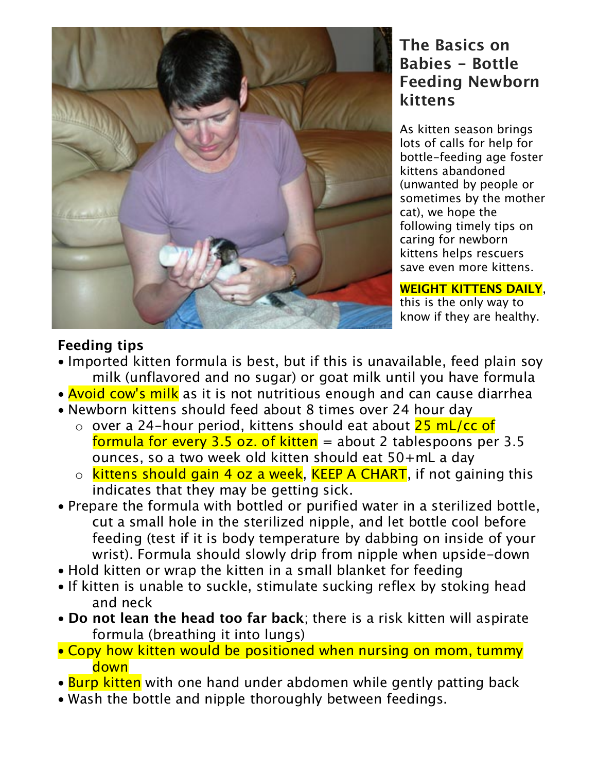

## **The Basics on Babies - Bottle Feeding Newborn kittens**

As kitten season brings lots of calls for help for bottle-feeding age foster kittens abandoned (unwanted by people or sometimes by the mother cat), we hope the following timely tips on caring for newborn kittens helps rescuers save even more kittens.

**WEIGHT KITTENS DAILY**, this is the only way to know if they are healthy.

### **Feeding tips**

- Imported kitten formula is best, but if this is unavailable, feed plain soy milk (unflavored and no sugar) or goat milk until you have formula
- **Avoid cow's milk** as it is not nutritious enough and can cause diarrhea
- Newborn kittens should feed about 8 times over 24 hour day
	- $\circ$  over a 24-hour period, kittens should eat about 25 mL/cc of formula for every 3.5 oz. of kitten  $=$  about 2 tablespoons per 3.5 ounces, so a two week old kitten should eat 50+mL a day
	- o kittens should gain 4 oz a week, KEEP A CHART, if not gaining this indicates that they may be getting sick.
- Prepare the formula with bottled or purified water in a sterilized bottle, cut a small hole in the sterilized nipple, and let bottle cool before feeding (test if it is body temperature by dabbing on inside of your wrist). Formula should slowly drip from nipple when upside-down
- Hold kitten or wrap the kitten in a small blanket for feeding
- If kitten is unable to suckle, stimulate sucking reflex by stoking head and neck
- **Do not lean the head too far back**; there is a risk kitten will aspirate formula (breathing it into lungs)
- Copy how kitten would be positioned when nursing on mom, tummy down
- Burp kitten with one hand under abdomen while gently patting back
- Wash the bottle and nipple thoroughly between feedings.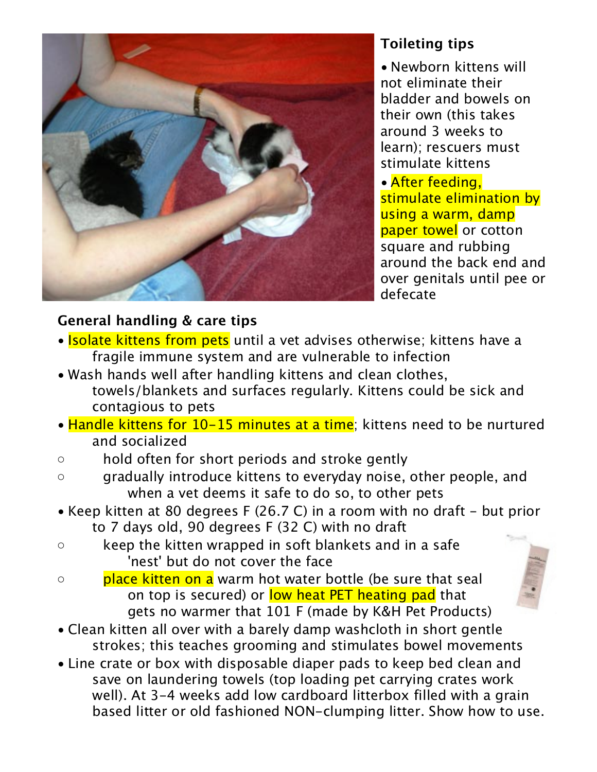

# **Toileting tips**

• Newborn kittens will not eliminate their bladder and bowels on their own (this takes around 3 weeks to learn); rescuers must stimulate kittens

• After feeding, stimulate elimination by using a warm, damp paper towel or cotton square and rubbing around the back end and over genitals until pee or defecate

## **General handling & care tips**

- Isolate kittens from pets until a vet advises otherwise; kittens have a fragile immune system and are vulnerable to infection
- Wash hands well after handling kittens and clean clothes, towels/blankets and surfaces regularly. Kittens could be sick and contagious to pets
- Handle kittens for 10-15 minutes at a time; kittens need to be nurtured and socialized
- hold often for short periods and stroke gently
- gradually introduce kittens to everyday noise, other people, and when a vet deems it safe to do so, to other pets
- Keep kitten at 80 degrees F (26.7 C) in a room with no draft but prior to 7 days old, 90 degrees F (32 C) with no draft
- keep the kitten wrapped in soft blankets and in a safe 'nest' but do not cover the face
- place kitten on a warm hot water bottle (be sure that seal on top is secured) or low heat PET heating pad that gets no warmer that 101 F (made by K&H Pet Products)
- Clean kitten all over with a barely damp washcloth in short gentle strokes; this teaches grooming and stimulates bowel movements
- Line crate or box with disposable diaper pads to keep bed clean and save on laundering towels (top loading pet carrying crates work well). At 3-4 weeks add low cardboard litterbox filled with a grain based litter or old fashioned NON-clumping litter. Show how to use.